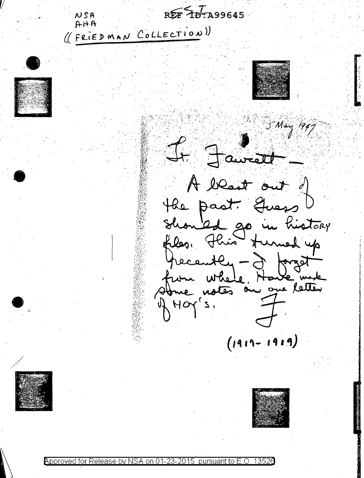$REF$  10. A99645  $N$  $S$ A  $A H A$ ((FRIEDMAN COLLECTION)) 5 May 1947 t Fairett A blast out of the past. Quess Should go in history his turned up files, 7 forget recently  $=$ un Whele Have mode from where. Hor's  $(1911 - 1919)$ 

Approved for Release hv nn nursuan